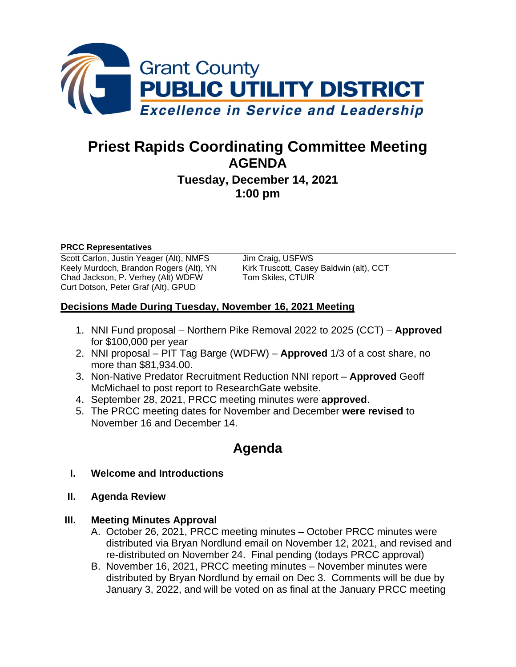

# **Priest Rapids Coordinating Committee Meeting AGENDA**

**Tuesday, December 14, 2021 1:00 pm**

#### **PRCC Representatives**

Scott Carlon, Justin Yeager (Alt), NMFS Jim Craig, USFWS Keely Murdoch, Brandon Rogers (Alt), YN Kirk Truscott, Casey Baldwin (alt), CCT<br>Chad Jackson, P. Verhey (Alt) WDFW Tom Skiles, CTUIR Chad Jackson, P. Verhey (Alt) WDFW Curt Dotson, Peter Graf (Alt), GPUD

#### **Decisions Made During Tuesday, November 16, 2021 Meeting**

- 1. NNI Fund proposal Northern Pike Removal 2022 to 2025 (CCT) **Approved** for \$100,000 per year
- 2. NNI proposal PIT Tag Barge (WDFW) **Approved** 1/3 of a cost share, no more than \$81,934.00.
- 3. Non-Native Predator Recruitment Reduction NNI report **Approved** Geoff McMichael to post report to ResearchGate website.
- 4. September 28, 2021, PRCC meeting minutes were **approved**.
- 5. The PRCC meeting dates for November and December **were revised** to November 16 and December 14.

# **Agenda**

- **I. Welcome and Introductions**
- **II. Agenda Review**
- **III. Meeting Minutes Approval** 
	- A. October 26, 2021, PRCC meeting minutes October PRCC minutes were distributed via Bryan Nordlund email on November 12, 2021, and revised and re-distributed on November 24. Final pending (todays PRCC approval)
	- B. November 16, 2021, PRCC meeting minutes November minutes were distributed by Bryan Nordlund by email on Dec 3. Comments will be due by January 3, 2022, and will be voted on as final at the January PRCC meeting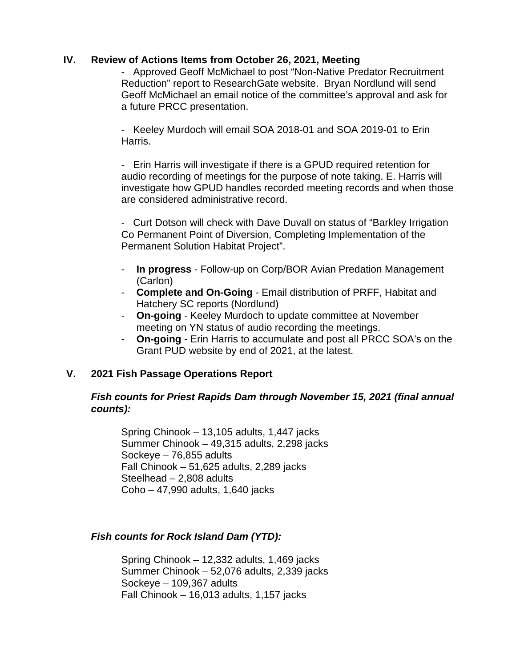#### **IV. Review of Actions Items from October 26, 2021, Meeting**

- Approved Geoff McMichael to post "Non-Native Predator Recruitment Reduction" report to ResearchGate website. Bryan Nordlund will send Geoff McMichael an email notice of the committee's approval and ask for a future PRCC presentation.

- Keeley Murdoch will email SOA 2018-01 and SOA 2019-01 to Erin Harris.

- Erin Harris will investigate if there is a GPUD required retention for audio recording of meetings for the purpose of note taking. E. Harris will investigate how GPUD handles recorded meeting records and when those are considered administrative record.

- Curt Dotson will check with Dave Duvall on status of "Barkley Irrigation Co Permanent Point of Diversion, Completing Implementation of the Permanent Solution Habitat Project".

- **In progress** Follow-up on Corp/BOR Avian Predation Management (Carlon)
- **Complete and On-Going** Email distribution of PRFF, Habitat and Hatchery SC reports (Nordlund)
- **On-going** Keeley Murdoch to update committee at November meeting on YN status of audio recording the meetings.
- **On-going** Erin Harris to accumulate and post all PRCC SOA's on the Grant PUD website by end of 2021, at the latest.

#### **V. 2021 Fish Passage Operations Report**

#### *Fish counts for Priest Rapids Dam through November 15, 2021 (final annual counts):*

Spring Chinook – 13,105 adults, 1,447 jacks Summer Chinook – 49,315 adults, 2,298 jacks Sockeye – 76,855 adults Fall Chinook – 51,625 adults, 2,289 jacks Steelhead – 2,808 adults Coho – 47,990 adults, 1,640 jacks

#### *Fish counts for Rock Island Dam (YTD):*

Spring Chinook – 12,332 adults, 1,469 jacks Summer Chinook – 52,076 adults, 2,339 jacks Sockeye – 109,367 adults Fall Chinook – 16,013 adults, 1,157 jacks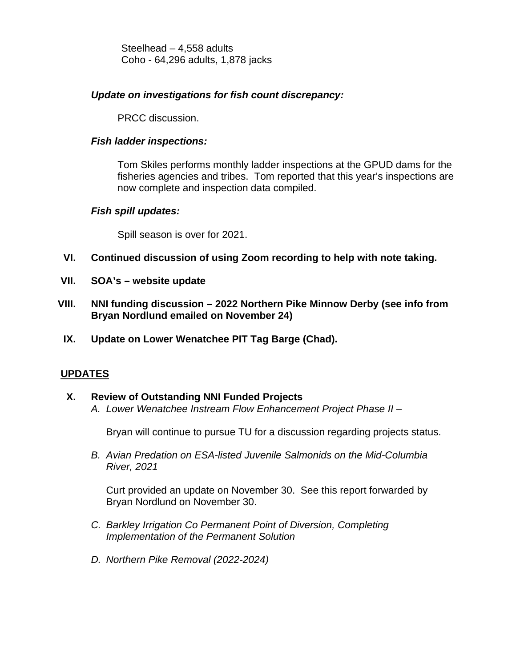Steelhead – 4,558 adults Coho - 64,296 adults, 1,878 jacks

#### *Update on investigations for fish count discrepancy:*

PRCC discussion.

### *Fish ladder inspections:*

Tom Skiles performs monthly ladder inspections at the GPUD dams for the fisheries agencies and tribes. Tom reported that this year's inspections are now complete and inspection data compiled.

#### *Fish spill updates:*

Spill season is over for 2021.

- **VI. Continued discussion of using Zoom recording to help with note taking.**
- **VII. SOA's – website update**
- **VIII. NNI funding discussion – 2022 Northern Pike Minnow Derby (see info from Bryan Nordlund emailed on November 24)**
- **IX. Update on Lower Wenatchee PIT Tag Barge (Chad).**

## **UPDATES**

#### **X. Review of Outstanding NNI Funded Projects**

*A. Lower Wenatchee Instream Flow Enhancement Project Phase II* –

Bryan will continue to pursue TU for a discussion regarding projects status.

*B. Avian Predation on ESA-listed Juvenile Salmonids on the Mid-Columbia River, 2021*

Curt provided an update on November 30. See this report forwarded by Bryan Nordlund on November 30.

- *C. Barkley Irrigation Co Permanent Point of Diversion, Completing Implementation of the Permanent Solution*
- *D. Northern Pike Removal (2022-2024)*